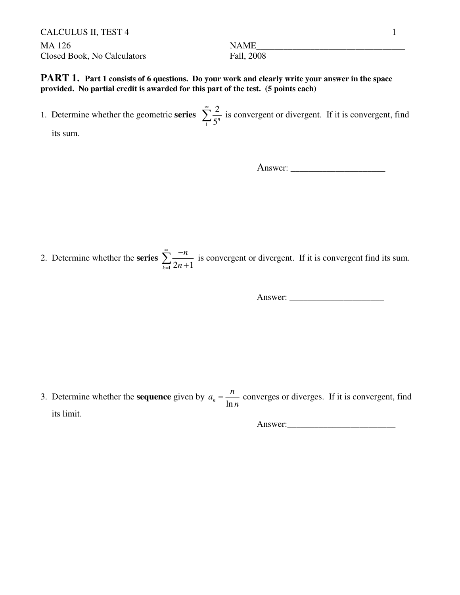CALCULUS II, TEST 4 1 MA 126 NAME\_\_\_\_\_\_\_\_\_\_\_\_\_\_\_\_\_\_\_\_\_\_\_\_\_\_\_\_\_\_\_\_\_ Closed Book, No Calculators Fall, 2008

**PART 1.** Part 1 consists of 6 questions. Do your work and clearly write your answer in the space **provided. No partial credit is awarded for this part of the test. (5 points each)**

1. Determine whether the geometric **series** 1 2 5 *n*  $\sum_{n=1}^{\infty} \frac{2}{5^n}$  is convergent or divergent. If it is convergent, find

its sum.

Answer: \_\_\_\_\_\_\_\_\_\_\_\_\_\_\_\_\_\_\_\_\_

2. Determine whether the **series**   $\sum_{k=1}^{n} 2n + 1$ *n n* ∞ = −  $\sum_{k=1}^{\infty} \frac{-n}{2n+1}$  is convergent or divergent. If it is convergent find its sum.

Answer: \_\_\_\_\_\_\_\_\_\_\_\_\_\_\_\_\_\_\_\_\_

3. Determine whether the **sequence** given by  $a_n = \frac{1}{\ln n}$  $a_n = \frac{n}{n}$ *n*  $=\frac{n}{l}$  converges or diverges. If it is convergent, find its limit.

Answer:\_\_\_\_\_\_\_\_\_\_\_\_\_\_\_\_\_\_\_\_\_\_\_\_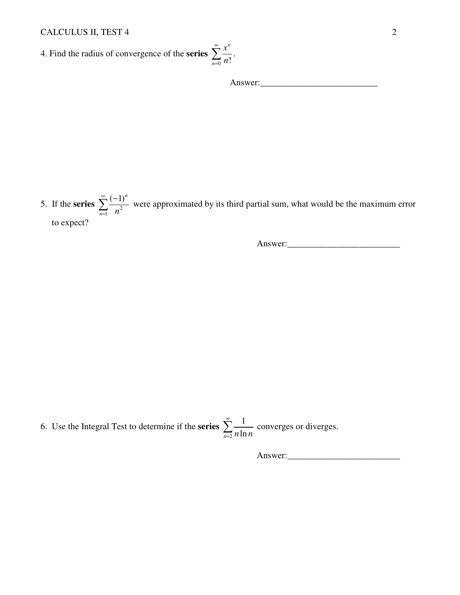4. Find the radius of convergence of the **series**  $\frac{1}{0}$  n! *x n*  $\sum_{n=0}^{\infty} \frac{x^n}{n!}$ .

Answer:\_\_\_\_\_\_\_\_\_\_\_\_\_\_\_\_\_\_\_\_\_\_\_\_\_\_

5. If the **series**  $\sum_{n=1}^{\infty} \frac{1}{n^2}$  $(-1)^n$  $\sum_{n=1}$  *n* ∞ =  $\sum_{n=1}^{\infty} \frac{(-1)^n}{2}$  were approximated by its third partial sum, what would be the maximum error to expect?

*n*

*n*

∞

Answer:

6. Use the Integral Test to determine if the **series** 2 1  $\sum_{n=2}$  *n* ln *n* ∞  $\sum_{n=2}^{\infty} \frac{1}{n \ln n}$  converges or diverges.

Answer:\_\_\_\_\_\_\_\_\_\_\_\_\_\_\_\_\_\_\_\_\_\_\_\_\_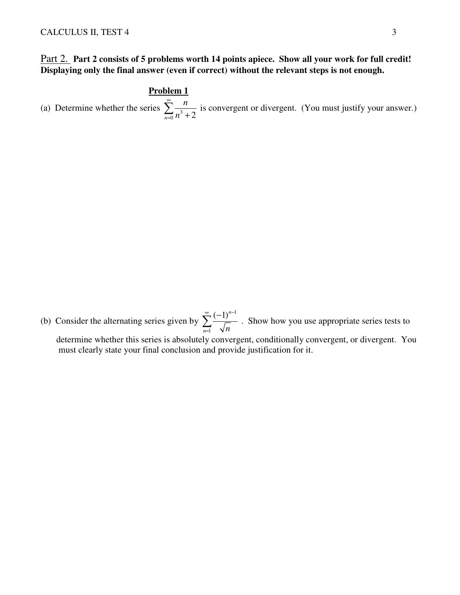## Part 2. **Part 2 consists of 5 problems worth 14 points apiece. Show all your work for full credit! Displaying only the final answer (even if correct) without the relevant steps is not enough.**

#### **Problem 1**

(a) Determine whether the series  $\sum_{n=0}^{\infty} \frac{n^3}{n^3 + 2}$ *n n* ∞  $\sum_{n=0}^{\infty} \frac{n}{n^3+2}$  is convergent or divergent. (You must justify your answer.)

(b) Consider the alternating series given by 1 1  $(-1)^n$  $\sum_{n=1}$   $\sqrt{n}$ ∞  $(1)$ <sup>n-</sup> =  $\sum_{r=1}^{\infty} \frac{(-1)^{n-r}}{r}$ . Show how you use appropriate series tests to determine whether this series is absolutely convergent, conditionally convergent, or divergent. You must clearly state your final conclusion and provide justification for it.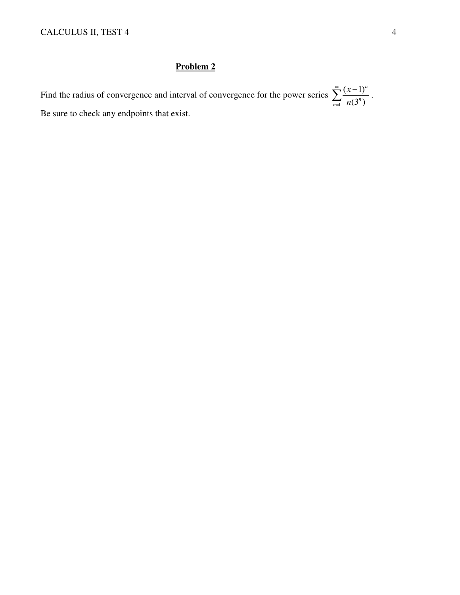# **Problem 2**

Find the radius of convergence and interval of convergence for the power series 1  $(x-1)$  $(3^n)$ *n*  $\sum_{n=1}^{\infty} n(3^n)$ *x n* ∞ =  $\sum_{n=0}^{\infty} \frac{(x-1)^n}{(x-1)^n}$ . Be sure to check any endpoints that exist.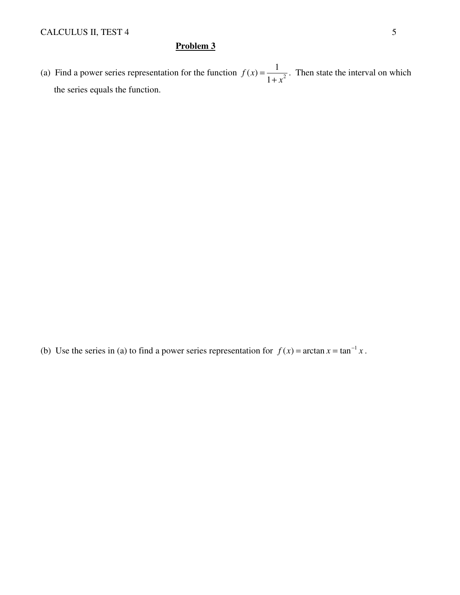### **Problem 3**

(a) Find a power series representation for the function  $f(x) = \frac{1}{1+x^2}$ 1 *f x x* =  $\frac{1}{x+x^2}$ . Then state the interval on which the series equals the function.

(b) Use the series in (a) to find a power series representation for  $f(x) = \arctan x = \tan^{-1} x$ .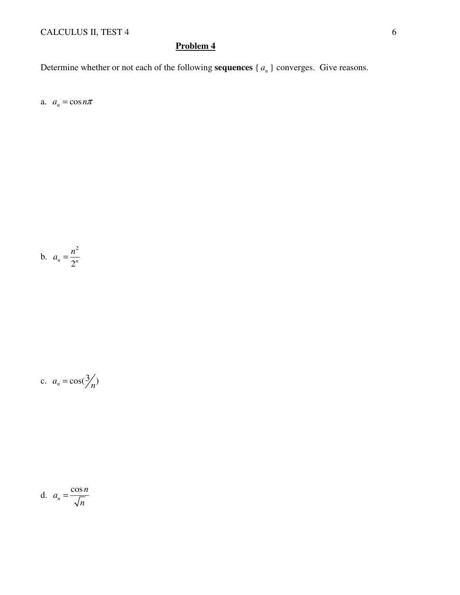# CALCULUS II, TEST 4 6

# **Problem 4**

Determine whether or not each of the following **sequences**  $\{a_n\}$  converges. Give reasons.

a.  $a_n = \cos n\pi$ 

$$
b. \quad a_n = \frac{n^2}{2^n}
$$

$$
c. \quad a_n = \cos(\frac{3}{n})
$$

d. 
$$
a_n = \frac{\cos n}{\sqrt{n}}
$$